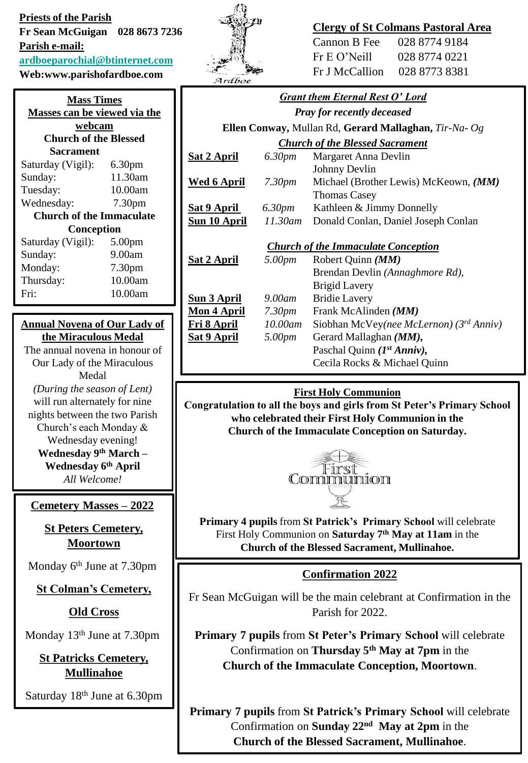**Priests of the Parish Fr Sean McGuigan 028 8673 7236 Parish e-mail: [ardboeparochial@btinternet.com](mailto:ardboeparochial@btinternet.com) Web:www.parishofardboe.com**

| <b>Mass Times</b><br>Masses can be viewed via the |                    |  |
|---------------------------------------------------|--------------------|--|
| webcam                                            |                    |  |
| <b>Church of the Blessed</b>                      |                    |  |
| Sacrament                                         |                    |  |
| Saturday (Vigil):                                 | 6.30 <sub>pm</sub> |  |
| Sunday:                                           | 11.30am            |  |
| Tuesday:                                          | 10.00am            |  |
| Wednesday:                                        | 7.30 <sub>pm</sub> |  |
| <b>Church of the Immaculate</b>                   |                    |  |
| Conception                                        |                    |  |
| Saturday (Vigil):                                 | 5.00 <sub>pm</sub> |  |
| Sunday:                                           | 9.00am             |  |
| Monday:                                           | 7.30 <sub>pm</sub> |  |
| Thursday:                                         | 10.00am            |  |
| Fri:                                              | 10.00am            |  |

## **Annual Novena of Our Lady of the Miraculous Medal**

The annual novena in honour of Our Lady of the Miraculous Medal *(During the season of Lent)* will run alternately for nine nights between the two Parish Church's each Monday & Wednesday evening! **Wednesday 9th March – Wednesday 6th April** *All Welcome!*

# **Cemetery Masses – 2022**

## **St Peters Cemetery, Moortown**

Monday 6<sup>th</sup> June at 7.30pm

# **St Colman's Cemetery,**

**Old Cross**

Monday 13<sup>th</sup> June at 7.30pm

**St Patricks Cemetery, Mullinahoe**

Saturday 18th June at 6.30pm



# **Clergy of St Colmans Pastoral Area**

| Cannon B Fee    | 028 8774 9184 |
|-----------------|---------------|
| $Fr E O'$ Neill | 028 8774 0221 |
| Fr J McCallion  | 028 8773 8381 |

| <b>Grant them Eternal Rest O' Lord</b>                |                    |                                         |
|-------------------------------------------------------|--------------------|-----------------------------------------|
| <b>Pray for recently deceased</b>                     |                    |                                         |
| Ellen Conway, Mullan Rd, Gerard Mallaghan, Tir-Na- Og |                    |                                         |
| <b>Church of the Blessed Sacrament</b>                |                    |                                         |
| Sat 2 April                                           | 6.30pm             | Margaret Anna Devlin                    |
|                                                       |                    | Johnny Devlin                           |
| <u>Wed 6 April</u>                                    | 7.30 <sub>pm</sub> | Michael (Brother Lewis) McKeown, (MM)   |
|                                                       |                    | <b>Thomas Casey</b>                     |
| <u>Sat 9 April_</u>                                   | 6.30pm             | Kathleen & Jimmy Donnelly               |
| <u>Sun 10 April</u>                                   | 11.30am            | Donald Conlan, Daniel Joseph Conlan     |
|                                                       |                    |                                         |
| <b>Church of the Immaculate Conception</b>            |                    |                                         |
| <u>Sat 2 April</u>                                    | 5.00pm             | Robert Quinn (MM)                       |
|                                                       |                    | Brendan Devlin (Annaghmore Rd),         |
|                                                       |                    | <b>Brigid Lavery</b>                    |
| <u>Sun 3 April</u>                                    | $9.00$ am          | <b>Bridie Lavery</b>                    |
| <u>Mon 4 April</u>                                    | 7.30pm             | Frank McAlinden (MM)                    |
| <u>Fri 8 April</u>                                    | 10.00am            | Siobhan McVey(nee McLernon) (3rd Anniv) |
| <u>Sat 9 April</u>                                    | 5.00pm             | Gerard Mallaghan (MM),                  |
|                                                       |                    | Paschal Quinn $(Ist Anniv)$ ,           |
|                                                       |                    | Cecila Rocks & Michael Quinn            |
|                                                       |                    |                                         |
| <b>First Holy Communion</b>                           |                    |                                         |

**Congratulation to all the boys and girls from St Peter's Primary School who celebrated their First Holy Communion in the Church of the Immaculate Conception on Saturday.**



**Primary 4 pupils** from **St Patrick's Primary School** will celebrate First Holy Communion on **Saturday 7th May at 11am** in the **Church of the Blessed Sacrament, Mullinahoe.**

# **Confirmation 2022**

Fr Sean McGuigan will be the main celebrant at Confirmation in the Parish for 2022.

**Primary 7 pupils** from **St Peter's Primary School** will celebrate Confirmation on **Thursday 5th May at 7pm** in the **Church of the Immaculate Conception, Moortown**.

**Primary 7 pupils** from **St Patrick's Primary School** will celebrate Confirmation on **Sunday 22nd May at 2pm** in the **Church of the Blessed Sacrament, Mullinahoe**.